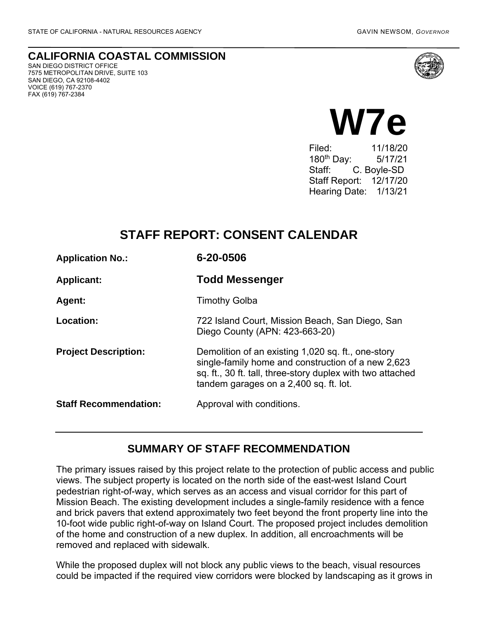**CALIFORNIA COASTAL COMMISSION** SAN DIEGO DISTRICT OFFICE

7575 METROPOLITAN DRIVE, SUITE 103 SAN DIEGO, CA 92108-4402 VOICE (619) 767-2370 FAX (619) 767-2384





Filed: 11/18/20 180th Day: 5/17/21 Staff: C. Boyle-SD Staff Report: 12/17/20 Hearing Date: 1/13/21

## **STAFF REPORT: CONSENT CALENDAR**

| <b>Application No.:</b>      | 6-20-0506                                                                                                                                                                                                        |
|------------------------------|------------------------------------------------------------------------------------------------------------------------------------------------------------------------------------------------------------------|
| <b>Applicant:</b>            | <b>Todd Messenger</b>                                                                                                                                                                                            |
| <b>Agent:</b>                | <b>Timothy Golba</b>                                                                                                                                                                                             |
| Location:                    | 722 Island Court, Mission Beach, San Diego, San<br>Diego County (APN: 423-663-20)                                                                                                                                |
| <b>Project Description:</b>  | Demolition of an existing 1,020 sq. ft., one-story<br>single-family home and construction of a new 2,623<br>sq. ft., 30 ft. tall, three-story duplex with two attached<br>tandem garages on a 2,400 sq. ft. lot. |
| <b>Staff Recommendation:</b> | Approval with conditions.                                                                                                                                                                                        |

### **SUMMARY OF STAFF RECOMMENDATION**

The primary issues raised by this project relate to the protection of public access and public views. The subject property is located on the north side of the east-west Island Court pedestrian right-of-way, which serves as an access and visual corridor for this part of Mission Beach. The existing development includes a single-family residence with a fence and brick pavers that extend approximately two feet beyond the front property line into the 10-foot wide public right-of-way on Island Court. The proposed project includes demolition of the home and construction of a new duplex. In addition, all encroachments will be removed and replaced with sidewalk.

While the proposed duplex will not block any public views to the beach, visual resources could be impacted if the required view corridors were blocked by landscaping as it grows in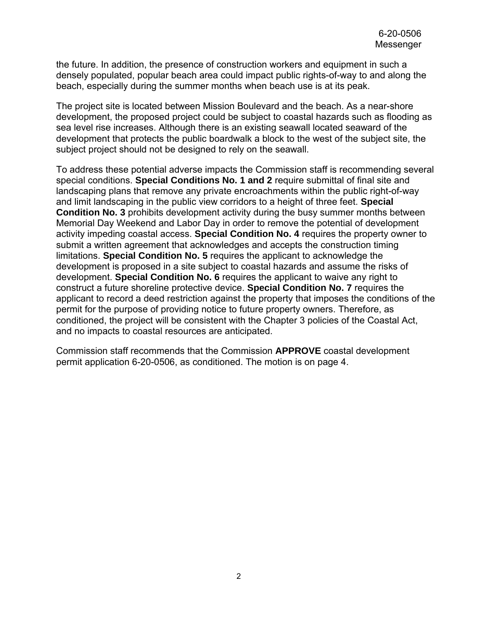the future. In addition, the presence of construction workers and equipment in such a densely populated, popular beach area could impact public rights-of-way to and along the beach, especially during the summer months when beach use is at its peak.

The project site is located between Mission Boulevard and the beach. As a near-shore development, the proposed project could be subject to coastal hazards such as flooding as sea level rise increases. Although there is an existing seawall located seaward of the development that protects the public boardwalk a block to the west of the subject site, the subject project should not be designed to rely on the seawall.

To address these potential adverse impacts the Commission staff is recommending several special conditions. **Special Conditions No. 1 and 2** require submittal of final site and landscaping plans that remove any private encroachments within the public right-of-way and limit landscaping in the public view corridors to a height of three feet. **Special Condition No. 3** prohibits development activity during the busy summer months between Memorial Day Weekend and Labor Day in order to remove the potential of development activity impeding coastal access. **Special Condition No. 4** requires the property owner to submit a written agreement that acknowledges and accepts the construction timing limitations. **Special Condition No. 5** requires the applicant to acknowledge the development is proposed in a site subject to coastal hazards and assume the risks of development. **Special Condition No. 6** requires the applicant to waive any right to construct a future shoreline protective device. **Special Condition No. 7** requires the applicant to record a deed restriction against the property that imposes the conditions of the permit for the purpose of providing notice to future property owners. Therefore, as conditioned, the project will be consistent with the Chapter 3 policies of the Coastal Act, and no impacts to coastal resources are anticipated.

Commission staff recommends that the Commission **APPROVE** coastal development permit application 6-20-0506, as conditioned. The motion is on page 4.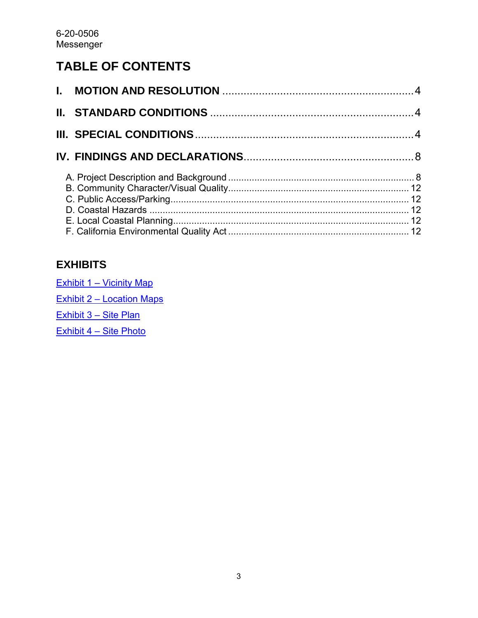# **TABLE OF CONTENTS**

# **EXHIBITS**

| Exhibit 1 – Vicinity Map  |
|---------------------------|
| Exhibit 2 - Location Maps |
| Exhibit 3 - Site Plan     |
| Exhibit 4 - Site Photo    |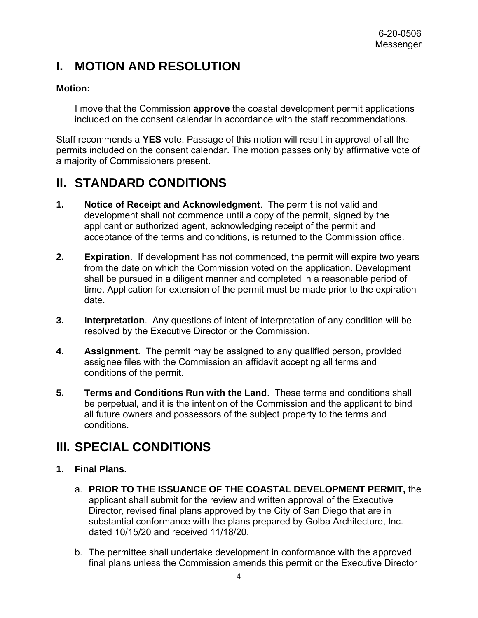# <span id="page-3-0"></span>**I. MOTION AND RESOLUTION**

### **Motion:**

I move that the Commission **approve** the coastal development permit applications included on the consent calendar in accordance with the staff recommendations.

Staff recommends a **YES** vote. Passage of this motion will result in approval of all the permits included on the consent calendar. The motion passes only by affirmative vote of a majority of Commissioners present.

# <span id="page-3-1"></span>**II. STANDARD CONDITIONS**

- **1. Notice of Receipt and Acknowledgment**. The permit is not valid and development shall not commence until a copy of the permit, signed by the applicant or authorized agent, acknowledging receipt of the permit and acceptance of the terms and conditions, is returned to the Commission office.
- **2. Expiration**. If development has not commenced, the permit will expire two years from the date on which the Commission voted on the application. Development shall be pursued in a diligent manner and completed in a reasonable period of time. Application for extension of the permit must be made prior to the expiration date.
- **3. Interpretation**. Any questions of intent of interpretation of any condition will be resolved by the Executive Director or the Commission.
- **4. Assignment**. The permit may be assigned to any qualified person, provided assignee files with the Commission an affidavit accepting all terms and conditions of the permit.
- **5. Terms and Conditions Run with the Land**. These terms and conditions shall be perpetual, and it is the intention of the Commission and the applicant to bind all future owners and possessors of the subject property to the terms and conditions.

# <span id="page-3-2"></span>**III. SPECIAL CONDITIONS**

### **1. Final Plans.**

- a. **PRIOR TO THE ISSUANCE OF THE COASTAL DEVELOPMENT PERMIT,** the applicant shall submit for the review and written approval of the Executive Director, revised final plans approved by the City of San Diego that are in substantial conformance with the plans prepared by Golba Architecture, Inc. dated 10/15/20 and received 11/18/20.
- b. The permittee shall undertake development in conformance with the approved final plans unless the Commission amends this permit or the Executive Director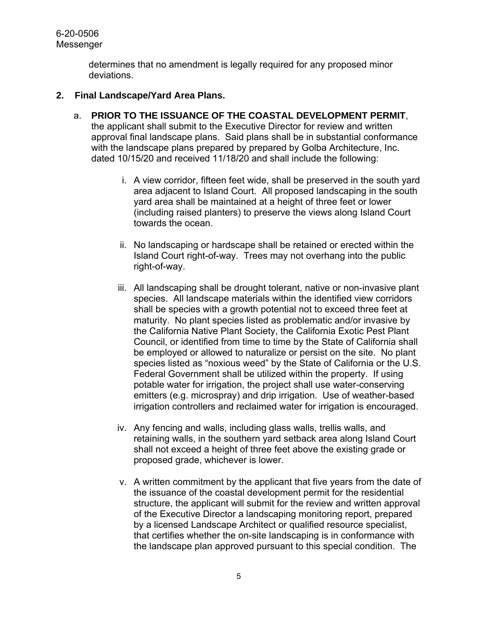determines that no amendment is legally required for any proposed minor deviations.

#### **2. Final Landscape/Yard Area Plans.**

- a. **PRIOR TO THE ISSUANCE OF THE COASTAL DEVELOPMENT PERMIT**, the applicant shall submit to the Executive Director for review and written approval final landscape plans. Said plans shall be in substantial conformance with the landscape plans prepared by prepared by Golba Architecture, Inc. dated 10/15/20 and received 11/18/20 and shall include the following:
	- i. A view corridor, fifteen feet wide, shall be preserved in the south yard area adjacent to Island Court. All proposed landscaping in the south yard area shall be maintained at a height of three feet or lower (including raised planters) to preserve the views along Island Court towards the ocean.
	- ii. No landscaping or hardscape shall be retained or erected within the Island Court right-of-way. Trees may not overhang into the public right-of-way.
	- iii. All landscaping shall be drought tolerant, native or non-invasive plant species. All landscape materials within the identified view corridors shall be species with a growth potential not to exceed three feet at maturity. No plant species listed as problematic and/or invasive by the California Native Plant Society, the California Exotic Pest Plant Council, or identified from time to time by the State of California shall be employed or allowed to naturalize or persist on the site. No plant species listed as "noxious weed" by the State of California or the U.S. Federal Government shall be utilized within the property. If using potable water for irrigation, the project shall use water-conserving emitters (e.g. microspray) and drip irrigation. Use of weather-based irrigation controllers and reclaimed water for irrigation is encouraged.
	- iv. Any fencing and walls, including glass walls, trellis walls, and retaining walls, in the southern yard setback area along Island Court shall not exceed a height of three feet above the existing grade or proposed grade, whichever is lower.
	- v. A written commitment by the applicant that five years from the date of the issuance of the coastal development permit for the residential structure, the applicant will submit for the review and written approval of the Executive Director a landscaping monitoring report, prepared by a licensed Landscape Architect or qualified resource specialist, that certifies whether the on-site landscaping is in conformance with the landscape plan approved pursuant to this special condition. The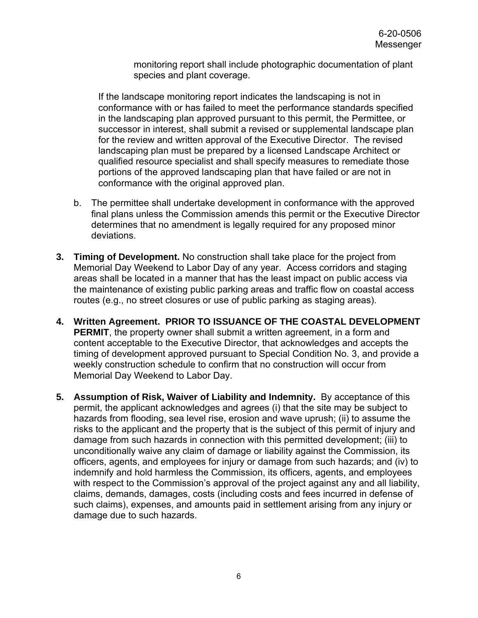monitoring report shall include photographic documentation of plant species and plant coverage.

If the landscape monitoring report indicates the landscaping is not in conformance with or has failed to meet the performance standards specified in the landscaping plan approved pursuant to this permit, the Permittee, or successor in interest, shall submit a revised or supplemental landscape plan for the review and written approval of the Executive Director. The revised landscaping plan must be prepared by a licensed Landscape Architect or qualified resource specialist and shall specify measures to remediate those portions of the approved landscaping plan that have failed or are not in conformance with the original approved plan.

- b. The permittee shall undertake development in conformance with the approved final plans unless the Commission amends this permit or the Executive Director determines that no amendment is legally required for any proposed minor deviations.
- **3. Timing of Development.** No construction shall take place for the project from Memorial Day Weekend to Labor Day of any year. Access corridors and staging areas shall be located in a manner that has the least impact on public access via the maintenance of existing public parking areas and traffic flow on coastal access routes (e.g., no street closures or use of public parking as staging areas).
- **4. Written Agreement. PRIOR TO ISSUANCE OF THE COASTAL DEVELOPMENT PERMIT**, the property owner shall submit a written agreement, in a form and content acceptable to the Executive Director, that acknowledges and accepts the timing of development approved pursuant to Special Condition No. 3, and provide a weekly construction schedule to confirm that no construction will occur from Memorial Day Weekend to Labor Day.
- **5. Assumption of Risk, Waiver of Liability and Indemnity.** By acceptance of this permit, the applicant acknowledges and agrees (i) that the site may be subject to hazards from flooding, sea level rise, erosion and wave uprush; (ii) to assume the risks to the applicant and the property that is the subject of this permit of injury and damage from such hazards in connection with this permitted development; (iii) to unconditionally waive any claim of damage or liability against the Commission, its officers, agents, and employees for injury or damage from such hazards; and (iv) to indemnify and hold harmless the Commission, its officers, agents, and employees with respect to the Commission's approval of the project against any and all liability, claims, demands, damages, costs (including costs and fees incurred in defense of such claims), expenses, and amounts paid in settlement arising from any injury or damage due to such hazards.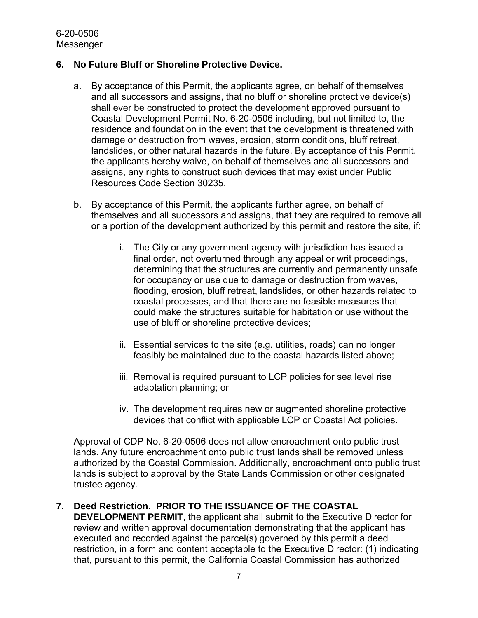#### **6. No Future Bluff or Shoreline Protective Device.**

- a. By acceptance of this Permit, the applicants agree, on behalf of themselves and all successors and assigns, that no bluff or shoreline protective device(s) shall ever be constructed to protect the development approved pursuant to Coastal Development Permit No. 6-20-0506 including, but not limited to, the residence and foundation in the event that the development is threatened with damage or destruction from waves, erosion, storm conditions, bluff retreat, landslides, or other natural hazards in the future. By acceptance of this Permit, the applicants hereby waive, on behalf of themselves and all successors and assigns, any rights to construct such devices that may exist under Public Resources Code Section 30235.
- b. By acceptance of this Permit, the applicants further agree, on behalf of themselves and all successors and assigns, that they are required to remove all or a portion of the development authorized by this permit and restore the site, if:
	- i. The City or any government agency with jurisdiction has issued a final order, not overturned through any appeal or writ proceedings, determining that the structures are currently and permanently unsafe for occupancy or use due to damage or destruction from waves, flooding, erosion, bluff retreat, landslides, or other hazards related to coastal processes, and that there are no feasible measures that could make the structures suitable for habitation or use without the use of bluff or shoreline protective devices;
	- ii. Essential services to the site (e.g. utilities, roads) can no longer feasibly be maintained due to the coastal hazards listed above;
	- iii. Removal is required pursuant to LCP policies for sea level rise adaptation planning; or
	- iv. The development requires new or augmented shoreline protective devices that conflict with applicable LCP or Coastal Act policies.

Approval of CDP No. 6-20-0506 does not allow encroachment onto public trust lands. Any future encroachment onto public trust lands shall be removed unless authorized by the Coastal Commission. Additionally, encroachment onto public trust lands is subject to approval by the State Lands Commission or other designated trustee agency.

### **7. Deed Restriction. PRIOR TO THE ISSUANCE OF THE COASTAL**

**DEVELOPMENT PERMIT**, the applicant shall submit to the Executive Director for review and written approval documentation demonstrating that the applicant has executed and recorded against the parcel(s) governed by this permit a deed restriction, in a form and content acceptable to the Executive Director: (1) indicating that, pursuant to this permit, the California Coastal Commission has authorized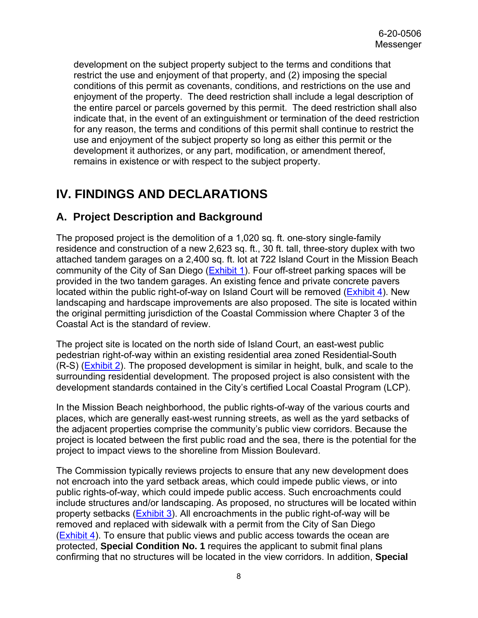development on the subject property subject to the terms and conditions that restrict the use and enjoyment of that property, and (2) imposing the special conditions of this permit as covenants, conditions, and restrictions on the use and enjoyment of the property. The deed restriction shall include a legal description of the entire parcel or parcels governed by this permit. The deed restriction shall also indicate that, in the event of an extinguishment or termination of the deed restriction for any reason, the terms and conditions of this permit shall continue to restrict the use and enjoyment of the subject property so long as either this permit or the development it authorizes, or any part, modification, or amendment thereof, remains in existence or with respect to the subject property.

# <span id="page-7-0"></span>**IV. FINDINGS AND DECLARATIONS**

### <span id="page-7-1"></span>**A. Project Description and Background**

The proposed project is the demolition of a 1,020 sq. ft. one-story single-family residence and construction of a new 2,623 sq. ft., 30 ft. tall, three-story duplex with two attached tandem garages on a 2,400 sq. ft. lot at 722 Island Court in the Mission Beach community of the City of San Diego [\(Exhibit 1\)](https://documents.coastal.ca.gov/reports/2021/1/w7e/w7e-1-2021-exhibits.pdf). Four off-street parking spaces will be provided in the two tandem garages. An existing fence and private concrete pavers located within the public right-of-way on Island Court will be removed [\(Exhibit 4\)](https://documents.coastal.ca.gov/reports/2021/1/w7e/w7e-1-2021-exhibits.pdf). New landscaping and hardscape improvements are also proposed. The site is located within the original permitting jurisdiction of the Coastal Commission where Chapter 3 of the Coastal Act is the standard of review.

The project site is located on the north side of Island Court, an east-west public pedestrian right-of-way within an existing residential area zoned Residential-South (R-S) [\(Exhibit 2\)](https://documents.coastal.ca.gov/reports/2021/1/w7e/w7e-1-2021-exhibits.pdf). The proposed development is similar in height, bulk, and scale to the surrounding residential development. The proposed project is also consistent with the development standards contained in the City's certified Local Coastal Program (LCP).

In the Mission Beach neighborhood, the public rights-of-way of the various courts and places, which are generally east-west running streets, as well as the yard setbacks of the adjacent properties comprise the community's public view corridors. Because the project is located between the first public road and the sea, there is the potential for the project to impact views to the shoreline from Mission Boulevard.

The Commission typically reviews projects to ensure that any new development does not encroach into the yard setback areas, which could impede public views, or into public rights-of-way, which could impede public access. Such encroachments could include structures and/or landscaping. As proposed, no structures will be located within property setbacks [\(Exhibit 3\)](https://documents.coastal.ca.gov/reports/2021/1/w7e/w7e-1-2021-exhibits.pdf). All encroachments in the public right-of-way will be removed and replaced with sidewalk with a permit from the City of San Diego (**Exhibit 4**). To ensure that public views and public access towards the ocean are protected, **Special Condition No. 1** requires the applicant to submit final plans confirming that no structures will be located in the view corridors. In addition, **Special**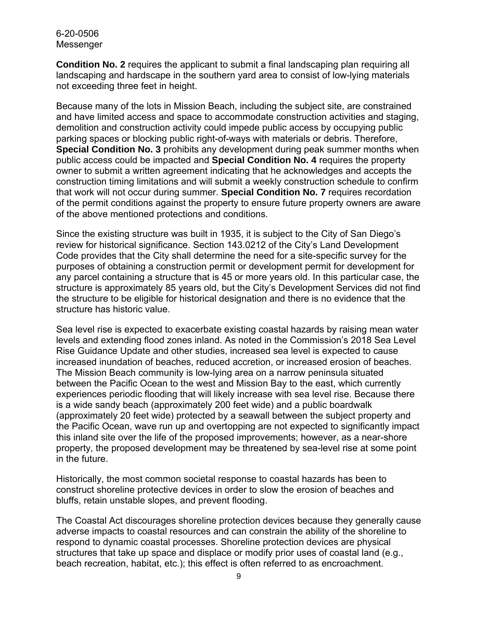#### 6-20-0506 Messenger

**Condition No. 2** requires the applicant to submit a final landscaping plan requiring all landscaping and hardscape in the southern yard area to consist of low-lying materials not exceeding three feet in height.

Because many of the lots in Mission Beach, including the subject site, are constrained and have limited access and space to accommodate construction activities and staging, demolition and construction activity could impede public access by occupying public parking spaces or blocking public right-of-ways with materials or debris. Therefore, **Special Condition No. 3** prohibits any development during peak summer months when public access could be impacted and **Special Condition No. 4** requires the property owner to submit a written agreement indicating that he acknowledges and accepts the construction timing limitations and will submit a weekly construction schedule to confirm that work will not occur during summer. **Special Condition No. 7** requires recordation of the permit conditions against the property to ensure future property owners are aware of the above mentioned protections and conditions.

Since the existing structure was built in 1935, it is subject to the City of San Diego's review for historical significance. Section 143.0212 of the City's Land Development Code provides that the City shall determine the need for a site-specific survey for the purposes of obtaining a construction permit or development permit for development for any parcel containing a structure that is 45 or more years old. In this particular case, the structure is approximately 85 years old, but the City's Development Services did not find the structure to be eligible for historical designation and there is no evidence that the structure has historic value.

Sea level rise is expected to exacerbate existing coastal hazards by raising mean water levels and extending flood zones inland. As noted in the Commission's 2018 Sea Level Rise Guidance Update and other studies, increased sea level is expected to cause increased inundation of beaches, reduced accretion, or increased erosion of beaches. The Mission Beach community is low-lying area on a narrow peninsula situated between the Pacific Ocean to the west and Mission Bay to the east, which currently experiences periodic flooding that will likely increase with sea level rise. Because there is a wide sandy beach (approximately 200 feet wide) and a public boardwalk (approximately 20 feet wide) protected by a seawall between the subject property and the Pacific Ocean, wave run up and overtopping are not expected to significantly impact this inland site over the life of the proposed improvements; however, as a near-shore property, the proposed development may be threatened by sea-level rise at some point in the future.

Historically, the most common societal response to coastal hazards has been to construct shoreline protective devices in order to slow the erosion of beaches and bluffs, retain unstable slopes, and prevent flooding.

The Coastal Act discourages shoreline protection devices because they generally cause adverse impacts to coastal resources and can constrain the ability of the shoreline to respond to dynamic coastal processes. Shoreline protection devices are physical structures that take up space and displace or modify prior uses of coastal land (e.g., beach recreation, habitat, etc.); this effect is often referred to as encroachment.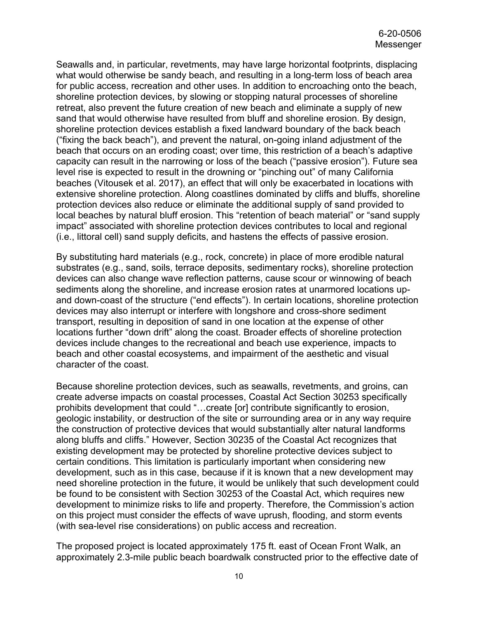Seawalls and, in particular, revetments, may have large horizontal footprints, displacing what would otherwise be sandy beach, and resulting in a long-term loss of beach area for public access, recreation and other uses. In addition to encroaching onto the beach, shoreline protection devices, by slowing or stopping natural processes of shoreline retreat, also prevent the future creation of new beach and eliminate a supply of new sand that would otherwise have resulted from bluff and shoreline erosion. By design, shoreline protection devices establish a fixed landward boundary of the back beach ("fixing the back beach"), and prevent the natural, on-going inland adjustment of the beach that occurs on an eroding coast; over time, this restriction of a beach's adaptive capacity can result in the narrowing or loss of the beach ("passive erosion"). Future sea level rise is expected to result in the drowning or "pinching out" of many California beaches (Vitousek et al. 2017), an effect that will only be exacerbated in locations with extensive shoreline protection. Along coastlines dominated by cliffs and bluffs, shoreline protection devices also reduce or eliminate the additional supply of sand provided to local beaches by natural bluff erosion. This "retention of beach material" or "sand supply impact" associated with shoreline protection devices contributes to local and regional (i.e., littoral cell) sand supply deficits, and hastens the effects of passive erosion.

By substituting hard materials (e.g., rock, concrete) in place of more erodible natural substrates (e.g., sand, soils, terrace deposits, sedimentary rocks), shoreline protection devices can also change wave reflection patterns, cause scour or winnowing of beach sediments along the shoreline, and increase erosion rates at unarmored locations upand down-coast of the structure ("end effects"). In certain locations, shoreline protection devices may also interrupt or interfere with longshore and cross-shore sediment transport, resulting in deposition of sand in one location at the expense of other locations further "down drift" along the coast. Broader effects of shoreline protection devices include changes to the recreational and beach use experience, impacts to beach and other coastal ecosystems, and impairment of the aesthetic and visual character of the coast.

Because shoreline protection devices, such as seawalls, revetments, and groins, can create adverse impacts on coastal processes, Coastal Act Section 30253 specifically prohibits development that could "…create [or] contribute significantly to erosion, geologic instability, or destruction of the site or surrounding area or in any way require the construction of protective devices that would substantially alter natural landforms along bluffs and cliffs." However, Section 30235 of the Coastal Act recognizes that existing development may be protected by shoreline protective devices subject to certain conditions. This limitation is particularly important when considering new development, such as in this case, because if it is known that a new development may need shoreline protection in the future, it would be unlikely that such development could be found to be consistent with Section 30253 of the Coastal Act, which requires new development to minimize risks to life and property. Therefore, the Commission's action on this project must consider the effects of wave uprush, flooding, and storm events (with sea-level rise considerations) on public access and recreation.

The proposed project is located approximately 175 ft. east of Ocean Front Walk, an approximately 2.3-mile public beach boardwalk constructed prior to the effective date of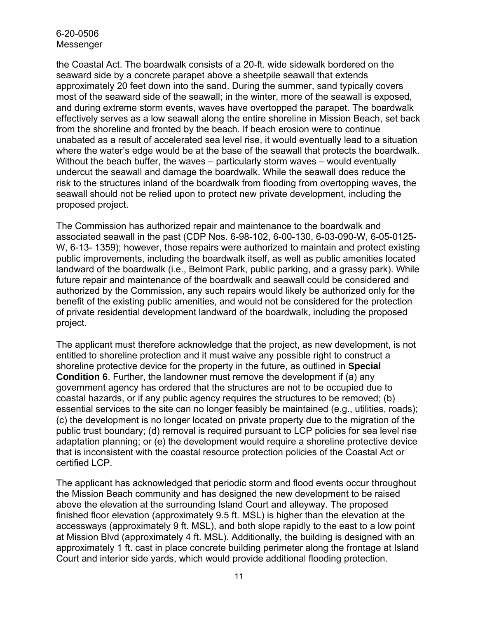#### 6-20-0506 Messenger

the Coastal Act. The boardwalk consists of a 20-ft. wide sidewalk bordered on the seaward side by a concrete parapet above a sheetpile seawall that extends approximately 20 feet down into the sand. During the summer, sand typically covers most of the seaward side of the seawall; in the winter, more of the seawall is exposed, and during extreme storm events, waves have overtopped the parapet. The boardwalk effectively serves as a low seawall along the entire shoreline in Mission Beach, set back from the shoreline and fronted by the beach. If beach erosion were to continue unabated as a result of accelerated sea level rise, it would eventually lead to a situation where the water's edge would be at the base of the seawall that protects the boardwalk. Without the beach buffer, the waves – particularly storm waves – would eventually undercut the seawall and damage the boardwalk. While the seawall does reduce the risk to the structures inland of the boardwalk from flooding from overtopping waves, the seawall should not be relied upon to protect new private development, including the proposed project.

The Commission has authorized repair and maintenance to the boardwalk and associated seawall in the past (CDP Nos. 6-98-102, 6-00-130, 6-03-090-W, 6-05-0125- W, 6-13- 1359); however, those repairs were authorized to maintain and protect existing public improvements, including the boardwalk itself, as well as public amenities located landward of the boardwalk (i.e., Belmont Park, public parking, and a grassy park). While future repair and maintenance of the boardwalk and seawall could be considered and authorized by the Commission, any such repairs would likely be authorized only for the benefit of the existing public amenities, and would not be considered for the protection of private residential development landward of the boardwalk, including the proposed project.

The applicant must therefore acknowledge that the project, as new development, is not entitled to shoreline protection and it must waive any possible right to construct a shoreline protective device for the property in the future, as outlined in **Special Condition 6**. Further, the landowner must remove the development if (a) any government agency has ordered that the structures are not to be occupied due to coastal hazards, or if any public agency requires the structures to be removed; (b) essential services to the site can no longer feasibly be maintained (e.g., utilities, roads); (c) the development is no longer located on private property due to the migration of the public trust boundary; (d) removal is required pursuant to LCP policies for sea level rise adaptation planning; or (e) the development would require a shoreline protective device that is inconsistent with the coastal resource protection policies of the Coastal Act or certified LCP.

The applicant has acknowledged that periodic storm and flood events occur throughout the Mission Beach community and has designed the new development to be raised above the elevation at the surrounding Island Court and alleyway. The proposed finished floor elevation (approximately 9.5 ft. MSL) is higher than the elevation at the accessways (approximately 9 ft. MSL), and both slope rapidly to the east to a low point at Mission Blvd (approximately 4 ft. MSL). Additionally, the building is designed with an approximately 1 ft. cast in place concrete building perimeter along the frontage at Island Court and interior side yards, which would provide additional flooding protection.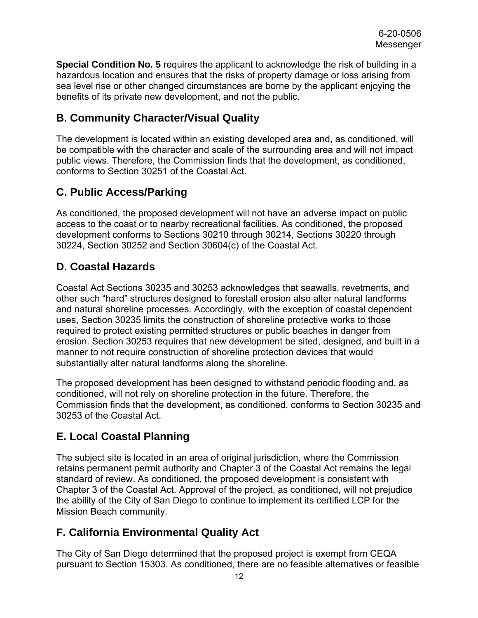**Special Condition No. 5** requires the applicant to acknowledge the risk of building in a hazardous location and ensures that the risks of property damage or loss arising from sea level rise or other changed circumstances are borne by the applicant enjoying the benefits of its private new development, and not the public.

## <span id="page-11-0"></span>**B. Community Character/Visual Quality**

The development is located within an existing developed area and, as conditioned, will be compatible with the character and scale of the surrounding area and will not impact public views. Therefore, the Commission finds that the development, as conditioned, conforms to Section 30251 of the Coastal Act.

## <span id="page-11-1"></span>**C. Public Access/Parking**

As conditioned, the proposed development will not have an adverse impact on public access to the coast or to nearby recreational facilities. As conditioned, the proposed development conforms to Sections 30210 through 30214, Sections 30220 through 30224, Section 30252 and Section 30604(c) of the Coastal Act.

## <span id="page-11-2"></span>**D. Coastal Hazards**

Coastal Act Sections 30235 and 30253 acknowledges that seawalls, revetments, and other such "hard" structures designed to forestall erosion also alter natural landforms and natural shoreline processes. Accordingly, with the exception of coastal dependent uses, Section 30235 limits the construction of shoreline protective works to those required to protect existing permitted structures or public beaches in danger from erosion. Section 30253 requires that new development be sited, designed, and built in a manner to not require construction of shoreline protection devices that would substantially alter natural landforms along the shoreline.

The proposed development has been designed to withstand periodic flooding and, as conditioned, will not rely on shoreline protection in the future. Therefore, the Commission finds that the development, as conditioned, conforms to Section 30235 and 30253 of the Coastal Act.

## <span id="page-11-3"></span>**E. Local Coastal Planning**

The subject site is located in an area of original jurisdiction, where the Commission retains permanent permit authority and Chapter 3 of the Coastal Act remains the legal standard of review. As conditioned, the proposed development is consistent with Chapter 3 of the Coastal Act. Approval of the project, as conditioned, will not prejudice the ability of the City of San Diego to continue to implement its certified LCP for the Mission Beach community.

## <span id="page-11-4"></span>**F. California Environmental Quality Act**

The City of San Diego determined that the proposed project is exempt from CEQA pursuant to Section 15303. As conditioned, there are no feasible alternatives or feasible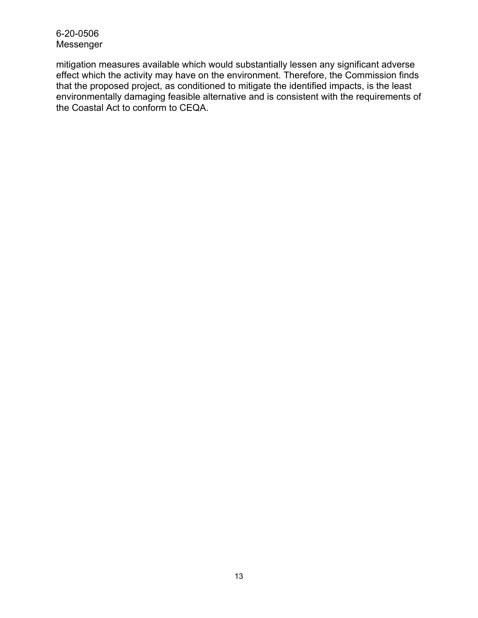#### 6-20-0506 Messenger

mitigation measures available which would substantially lessen any significant adverse effect which the activity may have on the environment. Therefore, the Commission finds that the proposed project, as conditioned to mitigate the identified impacts, is the least environmentally damaging feasible alternative and is consistent with the requirements of the Coastal Act to conform to CEQA.